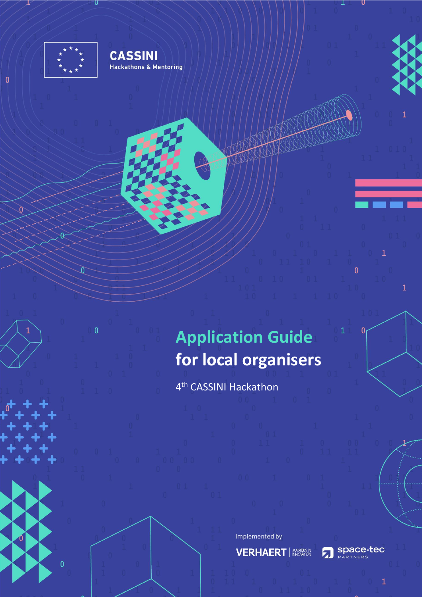

 $\overline{0}$ 

 $\sqrt{ }$ 

 $\overline{0}$ 

7U

士

 $\mathbf{0}$ 

 $\mathfrak d$ 

**CASSINI Hackathons & Mentoring** 

> **Application Guide for local organisers**

4 th CASSINI Hackathon

Implemented by

**VERHAERT** | **WSTEER** 

Space-tec  $\mathbf{z}$ 

Show the

 $\mathbf{0}$ 

 $\overline{0}$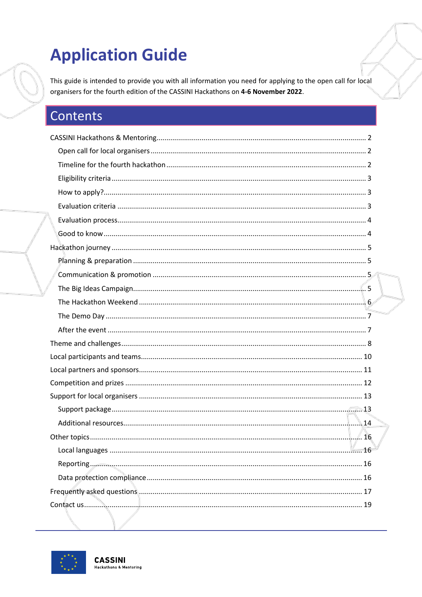# **Application Guide**

This guide is intended to provide you with all information you need for applying to the open call for local organisers for the fourth edition of the CASSINI Hackathons on 4-6 November 2022.

# Contents

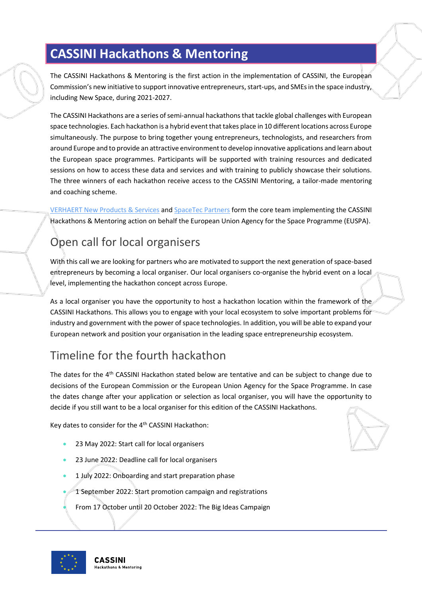# <span id="page-2-0"></span>**CASSINI Hackathons & Mentoring**

The CASSINI Hackathons & Mentoring is the first action in the implementation of CASSINI, the European Commission's new initiative to support innovative entrepreneurs, start-ups, and SMEs in the space industry, including New Space, during 2021-2027.

The CASSINI Hackathons are a series of semi-annual hackathons that tackle global challenges with European space technologies. Each hackathon is a hybrid event that takes place in 10 different locations across Europe simultaneously. The purpose to bring together young entrepreneurs, technologists, and researchers from around Europe and to provide an attractive environment to develop innovative applications and learn about the European space programmes. Participants will be supported with training resources and dedicated sessions on how to access these data and services and with training to publicly showcase their solutions. The three winners of each hackathon receive access to the CASSINI Mentoring, a tailor-made mentoring and coaching scheme.

[VERHAERT New Products & Services](https://verhaert.com/) an[d SpaceTec Partners](https://www.spacetec.partners/) form the core team implementing the CASSINI Hackathons & Mentoring action on behalf the European Union Agency for the Space Programme (EUSPA).

# <span id="page-2-1"></span>Open call for local organisers

With this call we are looking for partners who are motivated to support the next generation of space-based entrepreneurs by becoming a local organiser. Our local organisers co-organise the hybrid event on a local level, implementing the hackathon concept across Europe.

As a local organiser you have the opportunity to host a hackathon location within the framework of the CASSINI Hackathons. This allows you to engage with your local ecosystem to solve important problems for industry and government with the power of space technologies. In addition, you will be able to expand your European network and position your organisation in the leading space entrepreneurship ecosystem.

# <span id="page-2-2"></span>Timeline for the fourth hackathon

The dates for the 4<sup>th</sup> CASSINI Hackathon stated below are tentative and can be subject to change due to decisions of the European Commission or the European Union Agency for the Space Programme. In case the dates change after your application or selection as local organiser, you will have the opportunity to decide if you still want to be a local organiser for this edition of the CASSINI Hackathons.

Key dates to consider for the 4<sup>th</sup> CASSINI Hackathon:

- 23 May 2022: Start call for local organisers
- 23 June 2022: Deadline call for local organisers
- 1 July 2022: Onboarding and start preparation phase
- 1 September 2022: Start promotion campaign and registrations
- From 17 October until 20 October 2022: The Big Ideas Campaign

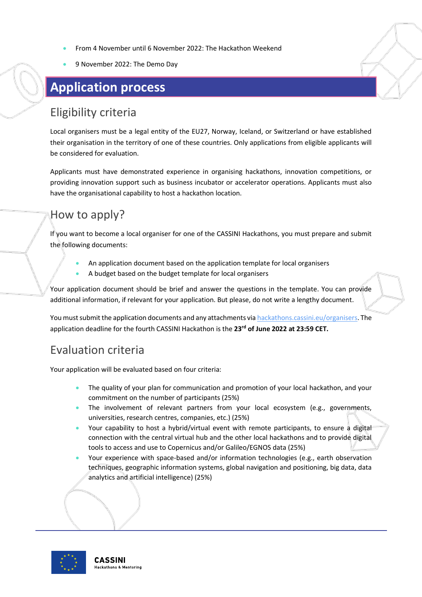- From 4 November until 6 November 2022: The Hackathon Weekend
- 9 November 2022: The Demo Day

# **Application process**

### <span id="page-3-0"></span>Eligibility criteria

Local organisers must be a legal entity of the EU27, Norway, Iceland, or Switzerland or have established their organisation in the territory of one of these countries. Only applications from eligible applicants will be considered for evaluation.

Applicants must have demonstrated experience in organising hackathons, innovation competitions, or providing innovation support such as business incubator or accelerator operations. Applicants must also have the organisational capability to host a hackathon location.

### <span id="page-3-1"></span>How to apply?

If you want to become a local organiser for one of the CASSINI Hackathons, you must prepare and submit the following documents:

- An application document based on the application template for local organisers
- A budget based on the budget template for local organisers

Your application document should be brief and answer the questions in the template. You can provide additional information, if relevant for your application. But please, do not write a lengthy document.

You must submit the application documents and any attachments vi[a hackathons.cassini.eu/organisers.](https://hackathons.cassini.eu/organisers) The application deadline for the fourth CASSINI Hackathon is the **23rd of June 2022 at 23:59 CET.**

### <span id="page-3-2"></span>Evaluation criteria

Your application will be evaluated based on four criteria:

- The quality of your plan for communication and promotion of your local hackathon, and your commitment on the number of participants (25%)
- The involvement of relevant partners from your local ecosystem (e.g., governments, universities, research centres, companies, etc.) (25%)
- Your capability to host a hybrid/virtual event with remote participants, to ensure a digital connection with the central virtual hub and the other local hackathons and to provide digital tools to access and use to Copernicus and/or Galileo/EGNOS data (25%)
- Your experience with space-based and/or information technologies (e.g., earth observation techniques, geographic information systems, global navigation and positioning, big data, data analytics and artificial intelligence) (25%)

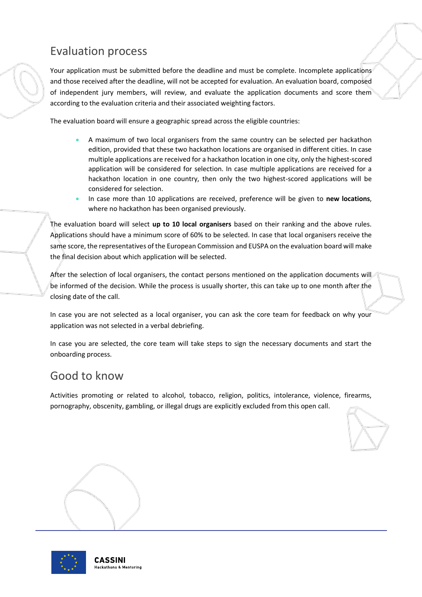### <span id="page-4-0"></span>Evaluation process

Your application must be submitted before the deadline and must be complete. Incomplete applications and those received after the deadline, will not be accepted for evaluation. An evaluation board, composed of independent jury members, will review, and evaluate the application documents and score them according to the evaluation criteria and their associated weighting factors.

The evaluation board will ensure a geographic spread across the eligible countries:

- A maximum of two local organisers from the same country can be selected per hackathon edition, provided that these two hackathon locations are organised in different cities. In case multiple applications are received for a hackathon location in one city, only the highest-scored application will be considered for selection. In case multiple applications are received for a hackathon location in one country, then only the two highest-scored applications will be considered for selection.
- In case more than 10 applications are received, preference will be given to **new locations**, where no hackathon has been organised previously.

The evaluation board will select **up to 10 local organisers** based on their ranking and the above rules. Applications should have a minimum score of 60% to be selected. In case that local organisers receive the same score, the representatives of the European Commission and EUSPA on the evaluation board will make the final decision about which application will be selected.

After the selection of local organisers, the contact persons mentioned on the application documents will be informed of the decision. While the process is usually shorter, this can take up to one month after the closing date of the call.

In case you are not selected as a local organiser, you can ask the core team for feedback on why your application was not selected in a verbal debriefing.

In case you are selected, the core team will take steps to sign the necessary documents and start the onboarding process.

### <span id="page-4-1"></span>Good to know

Activities promoting or related to alcohol, tobacco, religion, politics, intolerance, violence, firearms, pornography, obscenity, gambling, or illegal drugs are explicitly excluded from this open call.



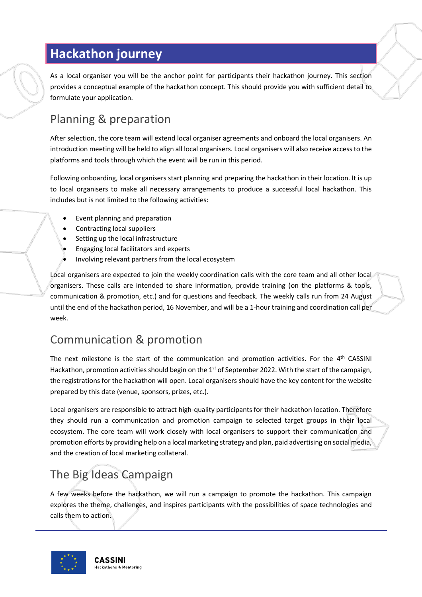# <span id="page-5-0"></span>**Hackathon journey**

As a local organiser you will be the anchor point for participants their hackathon journey. This section provides a conceptual example of the hackathon concept. This should provide you with sufficient detail to formulate your application.

### <span id="page-5-1"></span>Planning & preparation

After selection, the core team will extend local organiser agreements and onboard the local organisers. An introduction meeting will be held to align all local organisers. Local organisers will also receive access to the platforms and tools through which the event will be run in this period.

Following onboarding, local organisers start planning and preparing the hackathon in their location. It is up to local organisers to make all necessary arrangements to produce a successful local hackathon. This includes but is not limited to the following activities:

- Event planning and preparation
- Contracting local suppliers
- Setting up the local infrastructure
- Engaging local facilitators and experts
- Involving relevant partners from the local ecosystem

Local organisers are expected to join the weekly coordination calls with the core team and all other local organisers. These calls are intended to share information, provide training (on the platforms & tools, communication & promotion, etc.) and for questions and feedback. The weekly calls run from 24 August until the end of the hackathon period, 16 November, and will be a 1-hour training and coordination call per week.

### <span id="page-5-2"></span>Communication & promotion

The next milestone is the start of the communication and promotion activities. For the 4<sup>th</sup> CASSINI Hackathon, promotion activities should begin on the 1<sup>st</sup> of September 2022. With the start of the campaign, the registrations for the hackathon will open. Local organisers should have the key content for the website prepared by this date (venue, sponsors, prizes, etc.).

Local organisers are responsible to attract high-quality participants for their hackathon location. Therefore they should run a communication and promotion campaign to selected target groups in their local ecosystem. The core team will work closely with local organisers to support their communication and promotion efforts by providing help on a local marketing strategy and plan, paid advertising on social media, and the creation of local marketing collateral.

# <span id="page-5-3"></span>The Big Ideas Campaign

A few weeks before the hackathon, we will run a campaign to promote the hackathon. This campaign explores the theme, challenges, and inspires participants with the possibilities of space technologies and calls them to action.

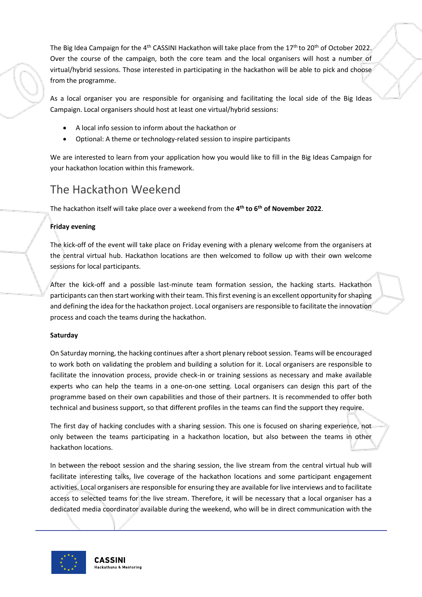The Big Idea Campaign for the 4<sup>th</sup> CASSINI Hackathon will take place from the 17<sup>th</sup> to 20<sup>th</sup> of October 2022. Over the course of the campaign, both the core team and the local organisers will host a number of virtual/hybrid sessions. Those interested in participating in the hackathon will be able to pick and choose from the programme.

As a local organiser you are responsible for organising and facilitating the local side of the Big Ideas Campaign. Local organisers should host at least one virtual/hybrid sessions:

- A local info session to inform about the hackathon or
- Optional: A theme or technology-related session to inspire participants

We are interested to learn from your application how you would like to fill in the Big Ideas Campaign for your hackathon location within this framework.

### <span id="page-6-0"></span>The Hackathon Weekend

The hackathon itself will take place over a weekend from the **4 th to 6 th of November 2022**.

#### **Friday evening**

The kick-off of the event will take place on Friday evening with a plenary welcome from the organisers at the central virtual hub. Hackathon locations are then welcomed to follow up with their own welcome sessions for local participants.

After the kick-off and a possible last-minute team formation session, the hacking starts. Hackathon participants can then start working with their team. This first evening is an excellent opportunity for shaping and defining the idea for the hackathon project. Local organisers are responsible to facilitate the innovation process and coach the teams during the hackathon.

#### **Saturday**

On Saturday morning, the hacking continues after a short plenary reboot session. Teams will be encouraged to work both on validating the problem and building a solution for it. Local organisers are responsible to facilitate the innovation process, provide check-in or training sessions as necessary and make available experts who can help the teams in a one-on-one setting. Local organisers can design this part of the programme based on their own capabilities and those of their partners. It is recommended to offer both technical and business support, so that different profiles in the teams can find the support they require.

The first day of hacking concludes with a sharing session. This one is focused on sharing experience, not only between the teams participating in a hackathon location, but also between the teams in other hackathon locations.

In between the reboot session and the sharing session, the live stream from the central virtual hub will facilitate interesting talks, live coverage of the hackathon locations and some participant engagement activities. Local organisers are responsible for ensuring they are available for live interviews and to facilitate access to selected teams for the live stream. Therefore, it will be necessary that a local organiser has a dedicated media coordinator available during the weekend, who will be in direct communication with the

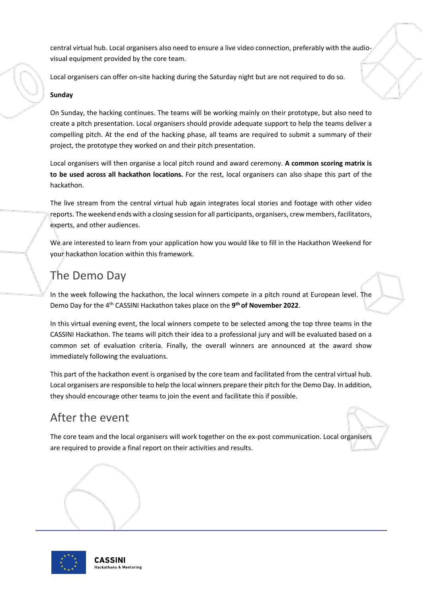central virtual hub. Local organisers also need to ensure a live video connection, preferably with the audiovisual equipment provided by the core team.

Local organisers can offer on-site hacking during the Saturday night but are not required to do so.

#### **Sunday**

On Sunday, the hacking continues. The teams will be working mainly on their prototype, but also need to create a pitch presentation. Local organisers should provide adequate support to help the teams deliver a compelling pitch. At the end of the hacking phase, all teams are required to submit a summary of their project, the prototype they worked on and their pitch presentation.

Local organisers will then organise a local pitch round and award ceremony. **A common scoring matrix is to be used across all hackathon locations.** For the rest, local organisers can also shape this part of the hackathon.

The live stream from the central virtual hub again integrates local stories and footage with other video reports. The weekend ends with a closing session for all participants, organisers, crew members, facilitators, experts, and other audiences.

We are interested to learn from your application how you would like to fill in the Hackathon Weekend for your hackathon location within this framework.

### <span id="page-7-0"></span>The Demo Day

In the week following the hackathon, the local winners compete in a pitch round at European level. The Demo Day for the 4 th CASSINI Hackathon takes place on the **9 th of November 2022**.

In this virtual evening event, the local winners compete to be selected among the top three teams in the CASSINI Hackathon. The teams will pitch their idea to a professional jury and will be evaluated based on a common set of evaluation criteria. Finally, the overall winners are announced at the award show immediately following the evaluations.

This part of the hackathon event is organised by the core team and facilitated from the central virtual hub. Local organisers are responsible to help the local winners prepare their pitch for the Demo Day. In addition, they should encourage other teams to join the event and facilitate this if possible.

### <span id="page-7-1"></span>After the event

The core team and the local organisers will work together on the ex-post communication. Local organisers are required to provide a final report on their activities and results.

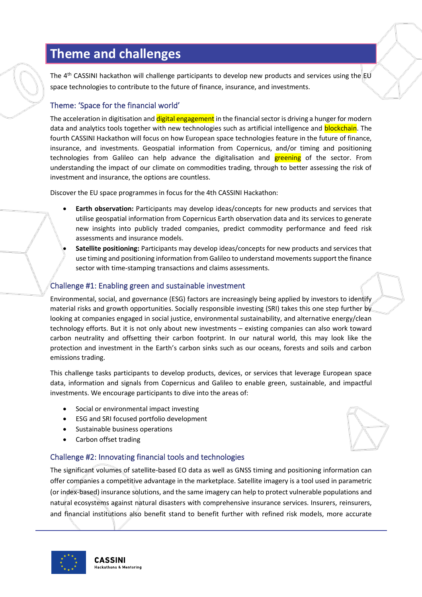### <span id="page-8-0"></span>**Theme and challenges**

The 4<sup>th</sup> CASSINI hackathon will challenge participants to develop new products and services using the EU space technologies to contribute to the future of finance, insurance, and investments.

#### Theme: 'Space for the financial world'

The acceleration in digitisation and digital engagement in the financial sector is driving a hunger for modern data and analytics tools together with new technologies such as artificial intelligence and **blockchain**. The fourth CASSINI Hackathon will focus on how European space technologies feature in the future of finance, insurance, and investments. Geospatial information from Copernicus, and/or timing and positioning technologies from Galileo can help advance the digitalisation and **greening** of the sector. From understanding the impact of our climate on commodities trading, through to better assessing the risk of investment and insurance, the options are countless.

Discover the EU space programmes in focus for the 4th CASSINI Hackathon:

- **Earth observation:** Participants may develop ideas/concepts for new products and services that utilise geospatial information from Copernicus Earth observation data and its services to generate new insights into publicly traded companies, predict commodity performance and feed risk assessments and insurance models.
- **Satellite positioning:** Participants may develop ideas/concepts for new products and services that use timing and positioning information from Galileo to understand movements support the finance sector with time-stamping transactions and claims assessments.

#### Challenge #1: Enabling green and sustainable investment

Environmental, social, and governance (ESG) factors are increasingly being applied by investors to identify material risks and growth opportunities. Socially responsible investing (SRI) takes this one step further by looking at companies engaged in social justice, environmental sustainability, and alternative energy/clean technology efforts. But it is not only about new investments – existing companies can also work toward carbon neutrality and offsetting their carbon footprint. In our natural world, this may look like the protection and investment in the Earth's carbon sinks such as our oceans, forests and soils and carbon emissions trading.

This challenge tasks participants to develop products, devices, or services that leverage European space data, information and signals from Copernicus and Galileo to enable green, sustainable, and impactful investments. We encourage participants to dive into the areas of:

- Social or environmental impact investing
- ESG and SRI focused portfolio development
- Sustainable business operations
- Carbon offset trading

#### Challenge #2: Innovating financial tools and technologies

The significant volumes of satellite-based EO data as well as GNSS timing and positioning information can offer companies a competitive advantage in the marketplace. Satellite imagery is a tool used in parametric (or index-based) insurance solutions, and the same imagery can help to protect vulnerable populations and natural ecosystems against natural disasters with comprehensive insurance services. Insurers, reinsurers, and financial institutions also benefit stand to benefit further with refined risk models, more accurate

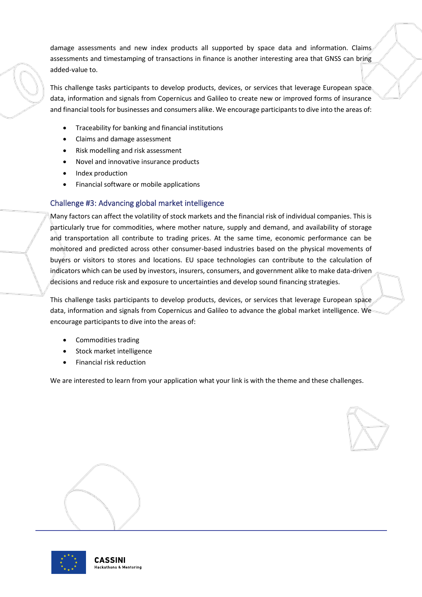damage assessments and new index products all supported by space data and information. Claims assessments and timestamping of transactions in finance is another interesting area that GNSS can bring added-value to.

This challenge tasks participants to develop products, devices, or services that leverage European space data, information and signals from Copernicus and Galileo to create new or improved forms of insurance and financial tools for businesses and consumers alike. We encourage participants to dive into the areas of:

- Traceability for banking and financial institutions
- Claims and damage assessment
- Risk modelling and risk assessment
- Novel and innovative insurance products
- Index production
- Financial software or mobile applications

#### Challenge #3: Advancing global market intelligence

Many factors can affect the volatility of stock markets and the financial risk of individual companies. This is particularly true for commodities, where mother nature, supply and demand, and availability of storage and transportation all contribute to trading prices. At the same time, economic performance can be monitored and predicted across other consumer-based industries based on the physical movements of buyers or visitors to stores and locations. EU space technologies can contribute to the calculation of indicators which can be used by investors, insurers, consumers, and government alike to make data-driven decisions and reduce risk and exposure to uncertainties and develop sound financing strategies.

This challenge tasks participants to develop products, devices, or services that leverage European space data, information and signals from Copernicus and Galileo to advance the global market intelligence. We encourage participants to dive into the areas of:

- Commodities trading
- Stock market intelligence
- Financial risk reduction

We are interested to learn from your application what your link is with the theme and these challenges.



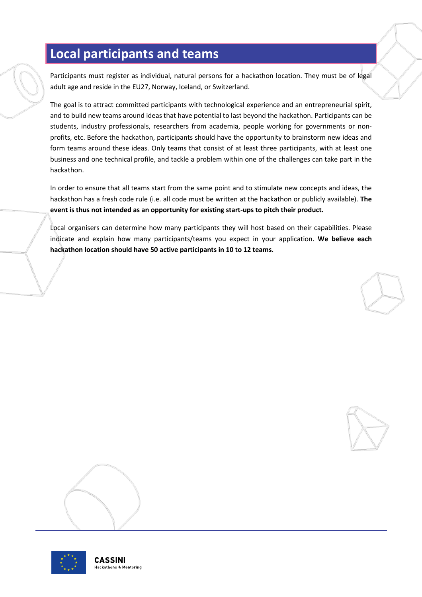# <span id="page-10-0"></span>**Local participants and teams**

Participants must register as individual, natural persons for a hackathon location. They must be of legal adult age and reside in the EU27, Norway, Iceland, or Switzerland.

The goal is to attract committed participants with technological experience and an entrepreneurial spirit, and to build new teams around ideas that have potential to last beyond the hackathon. Participants can be students, industry professionals, researchers from academia, people working for governments or nonprofits, etc. Before the hackathon, participants should have the opportunity to brainstorm new ideas and form teams around these ideas. Only teams that consist of at least three participants, with at least one business and one technical profile, and tackle a problem within one of the challenges can take part in the hackathon.

In order to ensure that all teams start from the same point and to stimulate new concepts and ideas, the hackathon has a fresh code rule (i.e. all code must be written at the hackathon or publicly available). **The event is thus not intended as an opportunity for existing start-ups to pitch their product.**

Local organisers can determine how many participants they will host based on their capabilities. Please indicate and explain how many participants/teams you expect in your application. **We believe each hackathon location should have 50 active participants in 10 to 12 teams.**





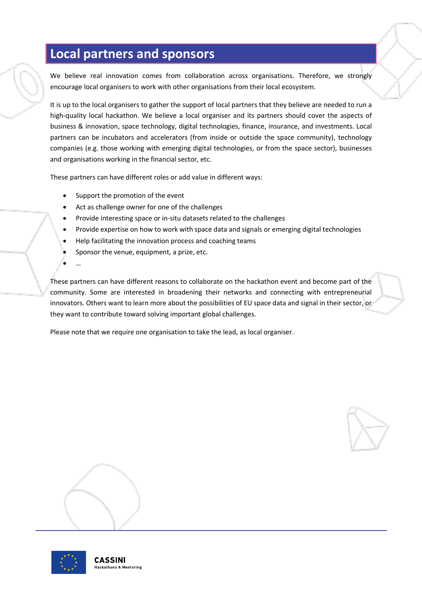# <span id="page-11-0"></span>**Local partners and sponsors**

We believe real innovation comes from collaboration across organisations. Therefore, we strongly encourage local organisers to work with other organisations from their local ecosystem.

It is up to the local organisers to gather the support of local partners that they believe are needed to run a high-quality local hackathon. We believe a local organiser and its partners should cover the aspects of business & innovation, space technology, digital technologies, finance, insurance, and investments. Local partners can be incubators and accelerators (from inside or outside the space community), technology companies (e.g. those working with emerging digital technologies, or from the space sector), businesses and organisations working in the financial sector, etc.

These partners can have different roles or add value in different ways:

- Support the promotion of the event
- Act as challenge owner for one of the challenges
- Provide interesting space or in-situ datasets related to the challenges
- Provide expertise on how to work with space data and signals or emerging digital technologies
- Help facilitating the innovation process and coaching teams
- Sponsor the venue, equipment, a prize, etc.
- $\ddot{\mathbf{r}}$

These partners can have different reasons to collaborate on the hackathon event and become part of the community. Some are interested in broadening their networks and connecting with entrepreneurial innovators. Others want to learn more about the possibilities of EU space data and signal in their sector, or they want to contribute toward solving important global challenges.

Please note that we require one organisation to take the lead, as local organiser.





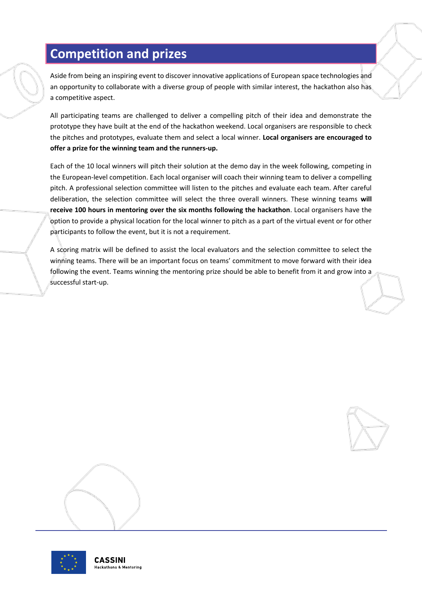# <span id="page-12-0"></span>**Competition and prizes**

Aside from being an inspiring event to discover innovative applications of European space technologies and an opportunity to collaborate with a diverse group of people with similar interest, the hackathon also has a competitive aspect.

All participating teams are challenged to deliver a compelling pitch of their idea and demonstrate the prototype they have built at the end of the hackathon weekend. Local organisers are responsible to check the pitches and prototypes, evaluate them and select a local winner. **Local organisers are encouraged to offer a prize for the winning team and the runners-up.**

Each of the 10 local winners will pitch their solution at the demo day in the week following, competing in the European-level competition. Each local organiser will coach their winning team to deliver a compelling pitch. A professional selection committee will listen to the pitches and evaluate each team. After careful deliberation, the selection committee will select the three overall winners. These winning teams **will receive 100 hours in mentoring over the six months following the hackathon**. Local organisers have the option to provide a physical location for the local winner to pitch as a part of the virtual event or for other participants to follow the event, but it is not a requirement.

A scoring matrix will be defined to assist the local evaluators and the selection committee to select the winning teams. There will be an important focus on teams' commitment to move forward with their idea following the event. Teams winning the mentoring prize should be able to benefit from it and grow into a successful start-up.





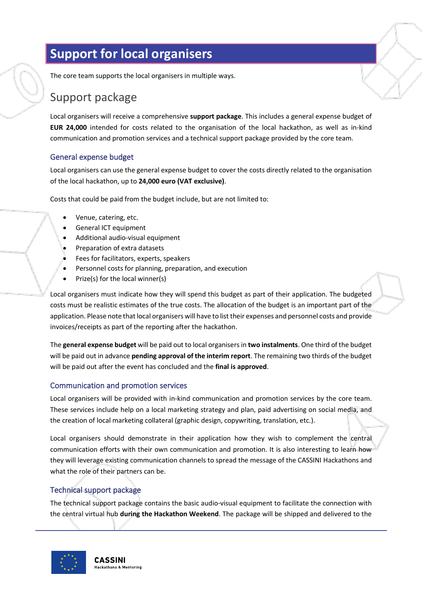# <span id="page-13-0"></span>**Support for local organisers**

The core team supports the local organisers in multiple ways.

### <span id="page-13-1"></span>Support package

Local organisers will receive a comprehensive **support package**. This includes a general expense budget of **EUR 24,000** intended for costs related to the organisation of the local hackathon, as well as in-kind communication and promotion services and a technical support package provided by the core team.

#### General expense budget

Local organisers can use the general expense budget to cover the costs directly related to the organisation of the local hackathon, up to **24,000 euro (VAT exclusive)**.

Costs that could be paid from the budget include, but are not limited to:

- Venue, catering, etc.
- General ICT equipment
- Additional audio-visual equipment
- Preparation of extra datasets
- Fees for facilitators, experts, speakers
- Personnel costs for planning, preparation, and execution
- Prize(s) for the local winner(s)

Local organisers must indicate how they will spend this budget as part of their application. The budgeted costs must be realistic estimates of the true costs. The allocation of the budget is an important part of the application. Please note that local organisers will have to list their expenses and personnel costs and provide invoices/receipts as part of the reporting after the hackathon.

The **general expense budget** will be paid out to local organisers in **two instalments**. One third of the budget will be paid out in advance **pending approval of the interim report**. The remaining two thirds of the budget will be paid out after the event has concluded and the **final is approved**.

#### Communication and promotion services

Local organisers will be provided with in-kind communication and promotion services by the core team. These services include help on a local marketing strategy and plan, paid advertising on social media, and the creation of local marketing collateral (graphic design, copywriting, translation, etc.).

Local organisers should demonstrate in their application how they wish to complement the central communication efforts with their own communication and promotion. It is also interesting to learn how they will leverage existing communication channels to spread the message of the CASSINI Hackathons and what the role of their partners can be.

#### Technical support package

The technical support package contains the basic audio-visual equipment to facilitate the connection with the central virtual hub **during the Hackathon Weekend**. The package will be shipped and delivered to the

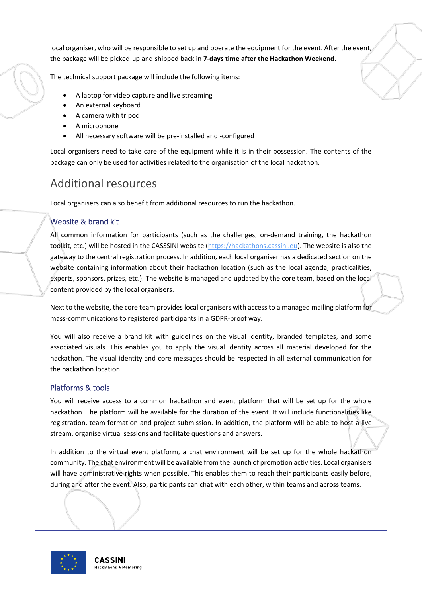local organiser, who will be responsible to set up and operate the equipment for the event. After the event, the package will be picked-up and shipped back in **7-days time after the Hackathon Weekend**.

The technical support package will include the following items:

- A laptop for video capture and live streaming
- An external keyboard
- A camera with tripod
- A microphone
- All necessary software will be pre-installed and -configured

Local organisers need to take care of the equipment while it is in their possession. The contents of the package can only be used for activities related to the organisation of the local hackathon.

### <span id="page-14-0"></span>Additional resources

Local organisers can also benefit from additional resources to run the hackathon.

#### Website & brand kit

All common information for participants (such as the challenges, on-demand training, the hackathon toolkit, etc.) will be hosted in the CASSSINI website [\(https://hackathons.cassini.eu\)](https://hackathons.cassini.eu/). The website is also the gateway to the central registration process. In addition, each local organiser has a dedicated section on the website containing information about their hackathon location (such as the local agenda, practicalities, experts, sponsors, prizes, etc.). The website is managed and updated by the core team, based on the local content provided by the local organisers.

Next to the website, the core team provides local organisers with access to a managed mailing platform for mass-communications to registered participants in a GDPR-proof way.

You will also receive a brand kit with guidelines on the visual identity, branded templates, and some associated visuals. This enables you to apply the visual identity across all material developed for the hackathon. The visual identity and core messages should be respected in all external communication for the hackathon location.

#### Platforms & tools

You will receive access to a common hackathon and event platform that will be set up for the whole hackathon. The platform will be available for the duration of the event. It will include functionalities like registration, team formation and project submission. In addition, the platform will be able to host a live stream, organise virtual sessions and facilitate questions and answers.

In addition to the virtual event platform, a chat environment will be set up for the whole hackathon community. The chat environment will be available from the launch of promotion activities. Local organisers will have administrative rights when possible. This enables them to reach their participants easily before, during and after the event. Also, participants can chat with each other, within teams and across teams.

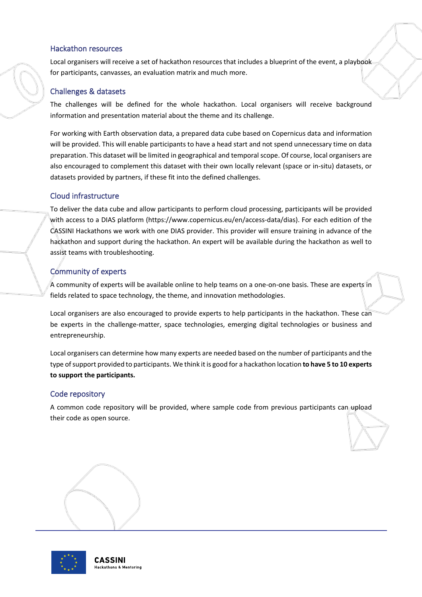#### Hackathon resources

Local organisers will receive a set of hackathon resources that includes a blueprint of the event, a playbook for participants, canvasses, an evaluation matrix and much more.

#### Challenges & datasets

The challenges will be defined for the whole hackathon. Local organisers will receive background information and presentation material about the theme and its challenge.

For working with Earth observation data, a prepared data cube based on Copernicus data and information will be provided. This will enable participants to have a head start and not spend unnecessary time on data preparation. This dataset will be limited in geographical and temporalscope. Of course, local organisers are also encouraged to complement this dataset with their own locally relevant (space or in-situ) datasets, or datasets provided by partners, if these fit into the defined challenges.

#### Cloud infrastructure

To deliver the data cube and allow participants to perform cloud processing, participants will be provided with access to a DIAS platform (https://www.copernicus.eu/en/access-data/dias). For each edition of the CASSINI Hackathons we work with one DIAS provider. This provider will ensure training in advance of the hackathon and support during the hackathon. An expert will be available during the hackathon as well to assist teams with troubleshooting.

#### Community of experts

A community of experts will be available online to help teams on a one-on-one basis. These are experts in fields related to space technology, the theme, and innovation methodologies.

Local organisers are also encouraged to provide experts to help participants in the hackathon. These can be experts in the challenge-matter, space technologies, emerging digital technologies or business and entrepreneurship.

Local organisers can determine how many experts are needed based on the number of participants and the type of support provided to participants. We think it is good for a hackathon location **to have 5 to 10 experts to support the participants.**

#### Code repository

A common code repository will be provided, where sample code from previous participants can upload their code as open source.

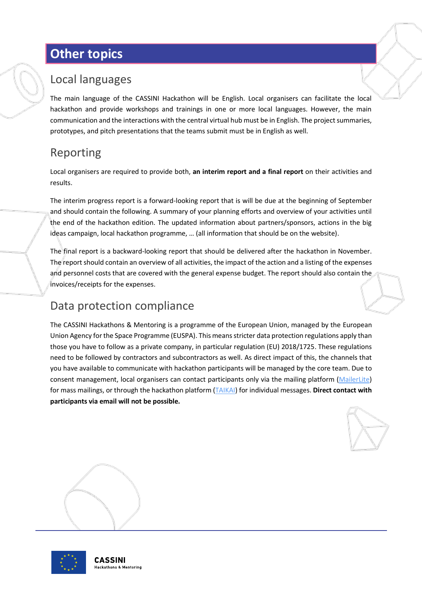# <span id="page-16-0"></span>**Other topics**

### <span id="page-16-1"></span>Local languages

The main language of the CASSINI Hackathon will be English. Local organisers can facilitate the local hackathon and provide workshops and trainings in one or more local languages. However, the main communication and the interactions with the central virtual hub must be in English. The project summaries, prototypes, and pitch presentations that the teams submit must be in English as well.

# <span id="page-16-2"></span>Reporting

Local organisers are required to provide both, **an interim report and a final report** on their activities and results.

The interim progress report is a forward-looking report that is will be due at the beginning of September and should contain the following. A summary of your planning efforts and overview of your activities until the end of the hackathon edition. The updated information about partners/sponsors, actions in the big ideas campaign, local hackathon programme, … (all information that should be on the website).

The final report is a backward-looking report that should be delivered after the hackathon in November. The report should contain an overview of all activities, the impact of the action and a listing of the expenses and personnel costs that are covered with the general expense budget. The report should also contain the invoices/receipts for the expenses.

### <span id="page-16-3"></span>Data protection compliance

The CASSINI Hackathons & Mentoring is a programme of the European Union, managed by the European Union Agency for the Space Programme (EUSPA). This means stricter data protection regulations apply than those you have to follow as a private company, in particular regulation (EU) 2018/1725. These regulations need to be followed by contractors and subcontractors as well. As direct impact of this, the channels that you have available to communicate with hackathon participants will be managed by the core team. Due to consent management, local organisers can contact participants only via the mailing platform [\(MailerLite\)](https://www.mailerlite.com/) for mass mailings, or through the hackathon platform [\(TAIKAI\)](https://taikai.network/hackathons) for individual messages. **Direct contact with participants via email will not be possible.**



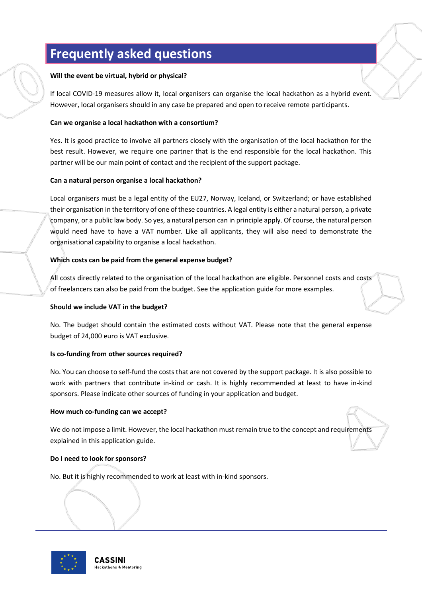# <span id="page-17-0"></span>**Frequently asked questions**

#### **Will the event be virtual, hybrid or physical?**

If local COVID-19 measures allow it, local organisers can organise the local hackathon as a hybrid event. However, local organisers should in any case be prepared and open to receive remote participants.

#### **Can we organise a local hackathon with a consortium?**

Yes. It is good practice to involve all partners closely with the organisation of the local hackathon for the best result. However, we require one partner that is the end responsible for the local hackathon. This partner will be our main point of contact and the recipient of the support package.

#### **Can a natural person organise a local hackathon?**

Local organisers must be a legal entity of the EU27, Norway, Iceland, or Switzerland; or have established their organisation in the territory of one of these countries. A legal entity is either a natural person, a private company, or a public law body. So yes, a natural person can in principle apply. Of course, the natural person would need have to have a VAT number. Like all applicants, they will also need to demonstrate the organisational capability to organise a local hackathon.

#### **Which costs can be paid from the general expense budget?**

All costs directly related to the organisation of the local hackathon are eligible. Personnel costs and costs of freelancers can also be paid from the budget. See the application guide for more examples.

#### **Should we include VAT in the budget?**

No. The budget should contain the estimated costs without VAT. Please note that the general expense budget of 24,000 euro is VAT exclusive.

#### **Is co-funding from other sources required?**

No. You can choose to self-fund the costs that are not covered by the support package. It is also possible to work with partners that contribute in-kind or cash. It is highly recommended at least to have in-kind sponsors. Please indicate other sources of funding in your application and budget.

#### **How much co-funding can we accept?**

We do not impose a limit. However, the local hackathon must remain true to the concept and requirements explained in this application guide.

#### **Do I need to look for sponsors?**

No. But it is highly recommended to work at least with in-kind sponsors.

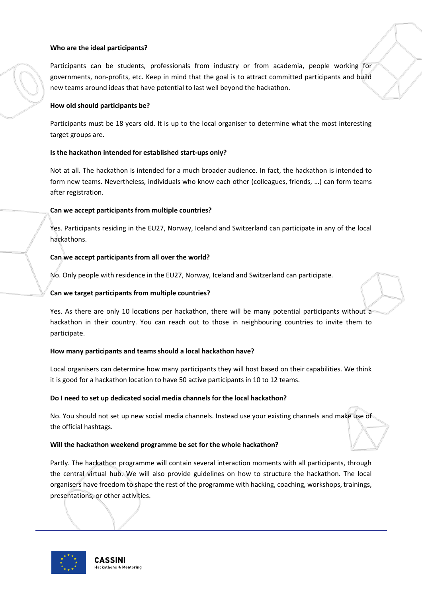#### **Who are the ideal participants?**

Participants can be students, professionals from industry or from academia, people working for governments, non-profits, etc. Keep in mind that the goal is to attract committed participants and build new teams around ideas that have potential to last well beyond the hackathon.

#### **How old should participants be?**

Participants must be 18 years old. It is up to the local organiser to determine what the most interesting target groups are.

#### **Is the hackathon intended for established start-ups only?**

Not at all. The hackathon is intended for a much broader audience. In fact, the hackathon is intended to form new teams. Nevertheless, individuals who know each other (colleagues, friends, …) can form teams after registration.

#### **Can we accept participants from multiple countries?**

Yes. Participants residing in the EU27, Norway, Iceland and Switzerland can participate in any of the local hackathons.

#### **Can we accept participants from all over the world?**

No. Only people with residence in the EU27, Norway, Iceland and Switzerland can participate.

#### **Can we target participants from multiple countries?**

Yes. As there are only 10 locations per hackathon, there will be many potential participants without a hackathon in their country. You can reach out to those in neighbouring countries to invite them to participate.

#### **How many participants and teams should a local hackathon have?**

Local organisers can determine how many participants they will host based on their capabilities. We think it is good for a hackathon location to have 50 active participants in 10 to 12 teams.

#### **Do I need to set up dedicated social media channels for the local hackathon?**

No. You should not set up new social media channels. Instead use your existing channels and make use of the official hashtags.

#### **Will the hackathon weekend programme be set for the whole hackathon?**

Partly. The hackathon programme will contain several interaction moments with all participants, through the central virtual hub. We will also provide guidelines on how to structure the hackathon. The local organisers have freedom to shape the rest of the programme with hacking, coaching, workshops, trainings, presentations, or other activities.